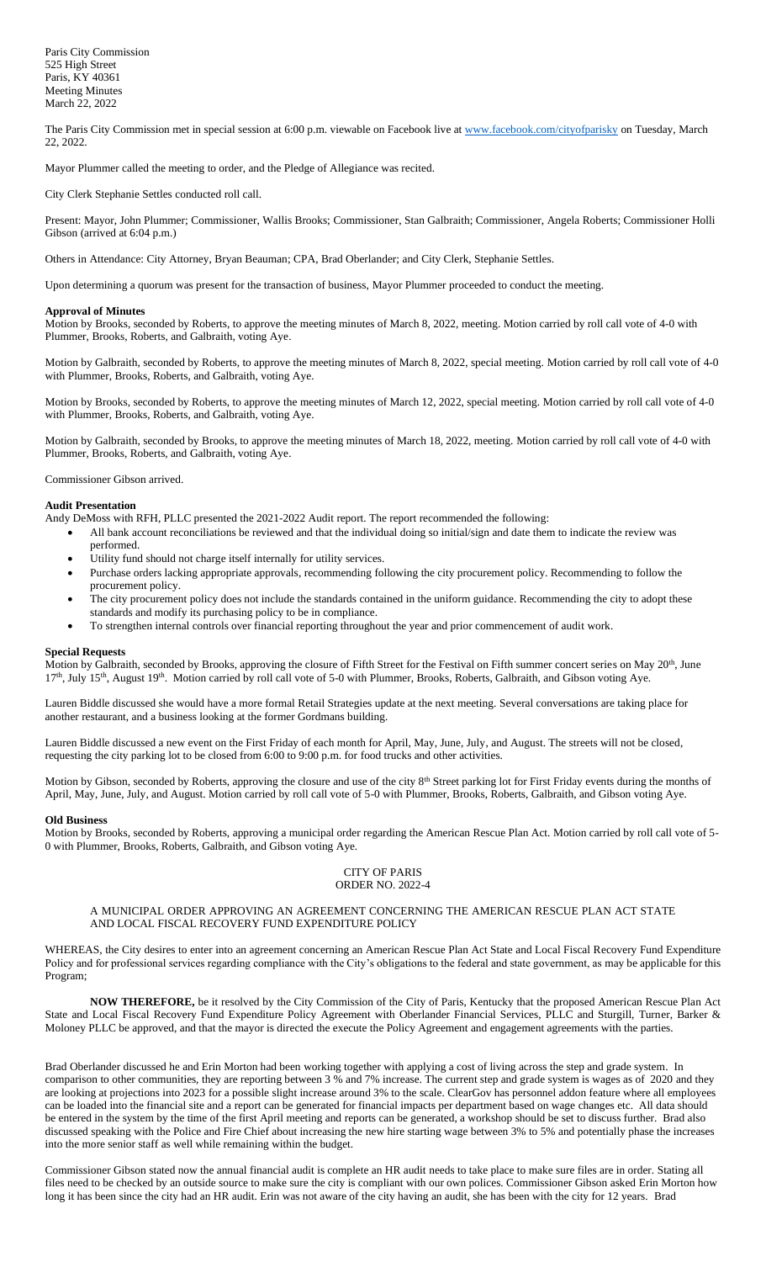The Paris City Commission met in special session at 6:00 p.m. viewable on Facebook live a[t www.facebook.com/cityofparisky](http://www.facebook.com/cityofparisky) on Tuesday, March 22, 2022.

Mayor Plummer called the meeting to order, and the Pledge of Allegiance was recited.

City Clerk Stephanie Settles conducted roll call.

Present: Mayor, John Plummer; Commissioner, Wallis Brooks; Commissioner, Stan Galbraith; Commissioner, Angela Roberts; Commissioner Holli Gibson (arrived at 6:04 p.m.)

Others in Attendance: City Attorney, Bryan Beauman; CPA, Brad Oberlander; and City Clerk, Stephanie Settles.

Upon determining a quorum was present for the transaction of business, Mayor Plummer proceeded to conduct the meeting.

### **Approval of Minutes**

Motion by Brooks, seconded by Roberts, to approve the meeting minutes of March 8, 2022, meeting. Motion carried by roll call vote of 4-0 with Plummer, Brooks, Roberts, and Galbraith, voting Aye.

Motion by Galbraith, seconded by Roberts, to approve the meeting minutes of March 8, 2022, special meeting. Motion carried by roll call vote of 4-0 with Plummer, Brooks, Roberts, and Galbraith, voting Aye.

Motion by Brooks, seconded by Roberts, to approve the meeting minutes of March 12, 2022, special meeting. Motion carried by roll call vote of 4-0 with Plummer, Brooks, Roberts, and Galbraith, voting Aye.

Motion by Galbraith, seconded by Brooks, to approve the meeting minutes of March 18, 2022, meeting. Motion carried by roll call vote of 4-0 with Plummer, Brooks, Roberts, and Galbraith, voting Aye.

Commissioner Gibson arrived.

# **Audit Presentation**

Andy DeMoss with RFH, PLLC presented the 2021-2022 Audit report. The report recommended the following:

- All bank account reconciliations be reviewed and that the individual doing so initial/sign and date them to indicate the review was performed.
- Utility fund should not charge itself internally for utility services.
- Purchase orders lacking appropriate approvals, recommending following the city procurement policy. Recommending to follow the procurement policy.
- The city procurement policy does not include the standards contained in the uniform guidance. Recommending the city to adopt these standards and modify its purchasing policy to be in compliance.

• To strengthen internal controls over financial reporting throughout the year and prior commencement of audit work.

#### **Special Requests**

Motion by Galbraith, seconded by Brooks, approving the closure of Fifth Street for the Festival on Fifth summer concert series on May 20<sup>th</sup>, June 17<sup>th</sup>, July 15<sup>th</sup>, August 19<sup>th</sup>. Motion carried by roll call vote of 5-0 with Plummer, Brooks, Roberts, Galbraith, and Gibson voting Aye.

Lauren Biddle discussed she would have a more formal Retail Strategies update at the next meeting. Several conversations are taking place for another restaurant, and a business looking at the former Gordmans building.

Lauren Biddle discussed a new event on the First Friday of each month for April, May, June, July, and August. The streets will not be closed, requesting the city parking lot to be closed from 6:00 to 9:00 p.m. for food trucks and other activities.

Motion by Gibson, seconded by Roberts, approving the closure and use of the city 8<sup>th</sup> Street parking lot for First Friday events during the months of April, May, June, July, and August. Motion carried by roll call vote of 5-0 with Plummer, Brooks, Roberts, Galbraith, and Gibson voting Aye.

#### **Old Business**

Motion by Brooks, seconded by Roberts, approving a municipal order regarding the American Rescue Plan Act. Motion carried by roll call vote of 5- 0 with Plummer, Brooks, Roberts, Galbraith, and Gibson voting Aye.

#### CITY OF PARIS ORDER NO. 2022-4

# A MUNICIPAL ORDER APPROVING AN AGREEMENT CONCERNING THE AMERICAN RESCUE PLAN ACT STATE AND LOCAL FISCAL RECOVERY FUND EXPENDITURE POLICY

WHEREAS, the City desires to enter into an agreement concerning an American Rescue Plan Act State and Local Fiscal Recovery Fund Expenditure Policy and for professional services regarding compliance with the City's obligations to the federal and state government, as may be applicable for this Program;

**NOW THEREFORE,** be it resolved by the City Commission of the City of Paris, Kentucky that the proposed American Rescue Plan Act State and Local Fiscal Recovery Fund Expenditure Policy Agreement with Oberlander Financial Services, PLLC and Sturgill, Turner, Barker & Moloney PLLC be approved, and that the mayor is directed the execute the Policy Agreement and engagement agreements with the parties.

Brad Oberlander discussed he and Erin Morton had been working together with applying a cost of living across the step and grade system. In comparison to other communities, they are reporting between 3 % and 7% increase. The current step and grade system is wages as of 2020 and they are looking at projections into 2023 for a possible slight increase around 3% to the scale. ClearGov has personnel addon feature where all employees can be loaded into the financial site and a report can be generated for financial impacts per department based on wage changes etc. All data should be entered in the system by the time of the first April meeting and reports can be generated, a workshop should be set to discuss further. Brad also discussed speaking with the Police and Fire Chief about increasing the new hire starting wage between 3% to 5% and potentially phase the increases into the more senior staff as well while remaining within the budget.

Commissioner Gibson stated now the annual financial audit is complete an HR audit needs to take place to make sure files are in order. Stating all files need to be checked by an outside source to make sure the city is compliant with our own polices. Commissioner Gibson asked Erin Morton how long it has been since the city had an HR audit. Erin was not aware of the city having an audit, she has been with the city for 12 years. Brad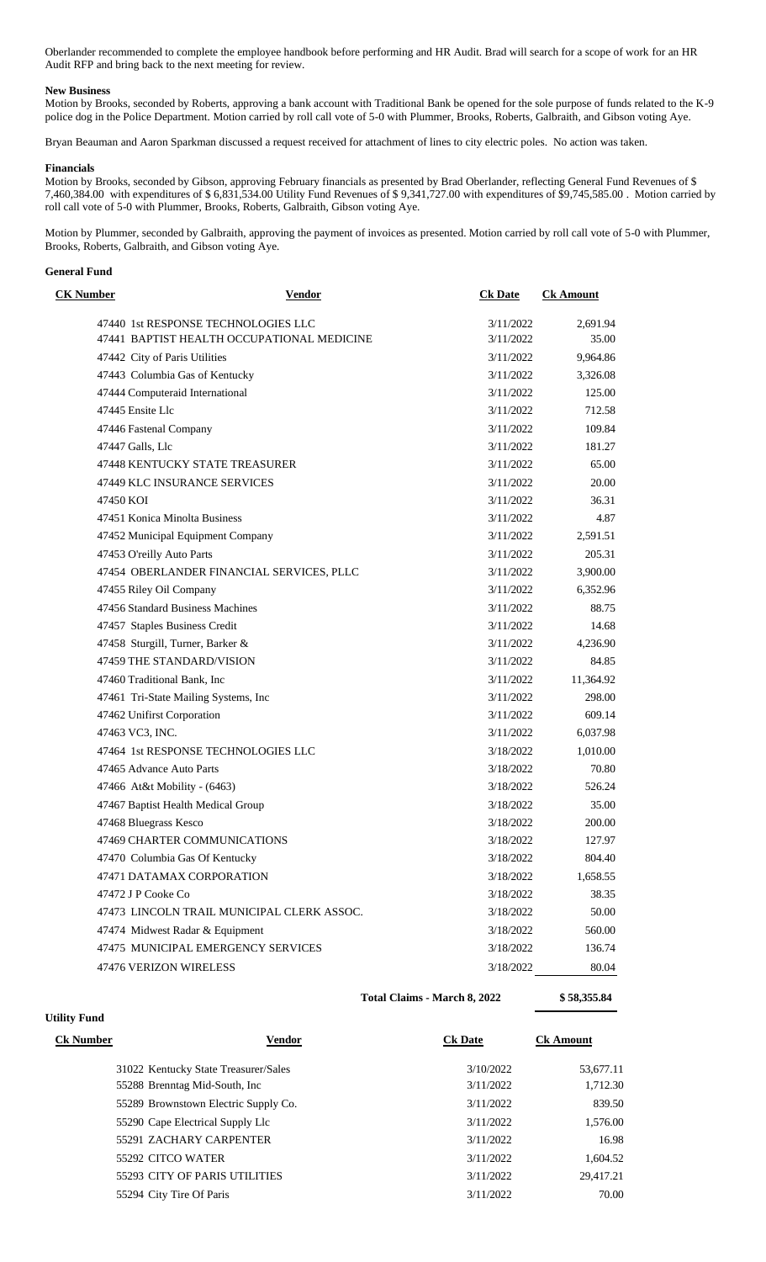Oberlander recommended to complete the employee handbook before performing and HR Audit. Brad will search for a scope of work for an HR Audit RFP and bring back to the next meeting for review.

## **New Business**

Motion by Brooks, seconded by Roberts, approving a bank account with Traditional Bank be opened for the sole purpose of funds related to the K-9 police dog in the Police Department. Motion carried by roll call vote of 5-0 with Plummer, Brooks, Roberts, Galbraith, and Gibson voting Aye.

Bryan Beauman and Aaron Sparkman discussed a request received for attachment of lines to city electric poles. No action was taken.

#### **Financials**

Motion by Brooks, seconded by Gibson, approving February financials as presented by Brad Oberlander, reflecting General Fund Revenues of \$ 7,460,384.00 with expenditures of \$ 6,831,534.00 Utility Fund Revenues of \$ 9,341,727.00 with expenditures of \$9,745,585.00 . Motion carried by roll call vote of 5-0 with Plummer, Brooks, Roberts, Galbraith, Gibson voting Aye.

Motion by Plummer, seconded by Galbraith, approving the payment of invoices as presented. Motion carried by roll call vote of 5-0 with Plummer, Brooks, Roberts, Galbraith, and Gibson voting Aye.

### **General Fund**

**Utility Fund**

| <b>CK Number</b> | <b>Vendor</b>                              | <b>Ck Date</b> | <b>Ck Amount</b> |
|------------------|--------------------------------------------|----------------|------------------|
|                  | 47440 1st RESPONSE TECHNOLOGIES LLC        | 3/11/2022      | 2,691.94         |
|                  | 47441 BAPTIST HEALTH OCCUPATIONAL MEDICINE | 3/11/2022      | 35.00            |
|                  | 47442 City of Paris Utilities              | 3/11/2022      | 9,964.86         |
|                  | 47443 Columbia Gas of Kentucky             | 3/11/2022      | 3,326.08         |
|                  | 47444 Computeraid International            | 3/11/2022      | 125.00           |
|                  | 47445 Ensite Llc                           | 3/11/2022      | 712.58           |
|                  | 47446 Fastenal Company                     | 3/11/2022      | 109.84           |
|                  | 47447 Galls, Llc                           | 3/11/2022      | 181.27           |
|                  | <b>47448 KENTUCKY STATE TREASURER</b>      | 3/11/2022      | 65.00            |
|                  | 47449 KLC INSURANCE SERVICES               | 3/11/2022      | 20.00            |
| 47450 KOI        |                                            | 3/11/2022      | 36.31            |
|                  | 47451 Konica Minolta Business              | 3/11/2022      | 4.87             |
|                  | 47452 Municipal Equipment Company          | 3/11/2022      | 2,591.51         |
|                  | 47453 O'reilly Auto Parts                  | 3/11/2022      | 205.31           |
|                  | 47454 OBERLANDER FINANCIAL SERVICES, PLLC  | 3/11/2022      | 3,900.00         |
|                  | 47455 Riley Oil Company                    | 3/11/2022      | 6,352.96         |
|                  | 47456 Standard Business Machines           | 3/11/2022      | 88.75            |
|                  | 47457 Staples Business Credit              | 3/11/2022      | 14.68            |
|                  | 47458 Sturgill, Turner, Barker &           | 3/11/2022      | 4,236.90         |
|                  | 47459 THE STANDARD/VISION                  | 3/11/2022      | 84.85            |
|                  | 47460 Traditional Bank, Inc.               | 3/11/2022      | 11,364.92        |
|                  | 47461 Tri-State Mailing Systems, Inc       | 3/11/2022      | 298.00           |
|                  | 47462 Unifirst Corporation                 | 3/11/2022      | 609.14           |
|                  | 47463 VC3, INC.                            | 3/11/2022      | 6,037.98         |
|                  | 47464 1st RESPONSE TECHNOLOGIES LLC        | 3/18/2022      | 1,010.00         |
|                  | 47465 Advance Auto Parts                   | 3/18/2022      | 70.80            |
|                  | 47466 At&t Mobility - (6463)               | 3/18/2022      | 526.24           |
|                  | 47467 Baptist Health Medical Group         | 3/18/2022      | 35.00            |
|                  | 47468 Bluegrass Kesco                      | 3/18/2022      | 200.00           |
|                  | 47469 CHARTER COMMUNICATIONS               | 3/18/2022      | 127.97           |
|                  | 47470 Columbia Gas Of Kentucky             | 3/18/2022      | 804.40           |
|                  | 47471 DATAMAX CORPORATION                  | 3/18/2022      | 1,658.55         |
|                  | 47472 J P Cooke Co                         | 3/18/2022      | 38.35            |
|                  | 47473 LINCOLN TRAIL MUNICIPAL CLERK ASSOC. | 3/18/2022      | 50.00            |
|                  | 47474 Midwest Radar & Equipment            | 3/18/2022      | 560.00           |
|                  | 47475 MUNICIPAL EMERGENCY SERVICES         | 3/18/2022      | 136.74           |
|                  | 47476 VERIZON WIRELESS                     | 3/18/2022      | 80.04            |

**Total Claims - March 8, 2022 \$ 58,355.84**

| <b>Ck Number</b> | Vendor                               | <b>Ck Date</b> | <b>Ck Amount</b> |
|------------------|--------------------------------------|----------------|------------------|
|                  | 31022 Kentucky State Treasurer/Sales | 3/10/2022      | 53,677.11        |
|                  | 55288 Brenntag Mid-South, Inc.       | 3/11/2022      | 1,712.30         |
|                  | 55289 Brownstown Electric Supply Co. | 3/11/2022      | 839.50           |
|                  | 55290 Cape Electrical Supply Llc     | 3/11/2022      | 1,576.00         |
|                  | 55291 ZACHARY CARPENTER              | 3/11/2022      | 16.98            |
|                  | 55292 CITCO WATER                    | 3/11/2022      | 1,604.52         |
|                  | <b>55293 CITY OF PARIS UTILITIES</b> | 3/11/2022      | 29.417.21        |
|                  | 55294 City Tire Of Paris             | 3/11/2022      | 70.00            |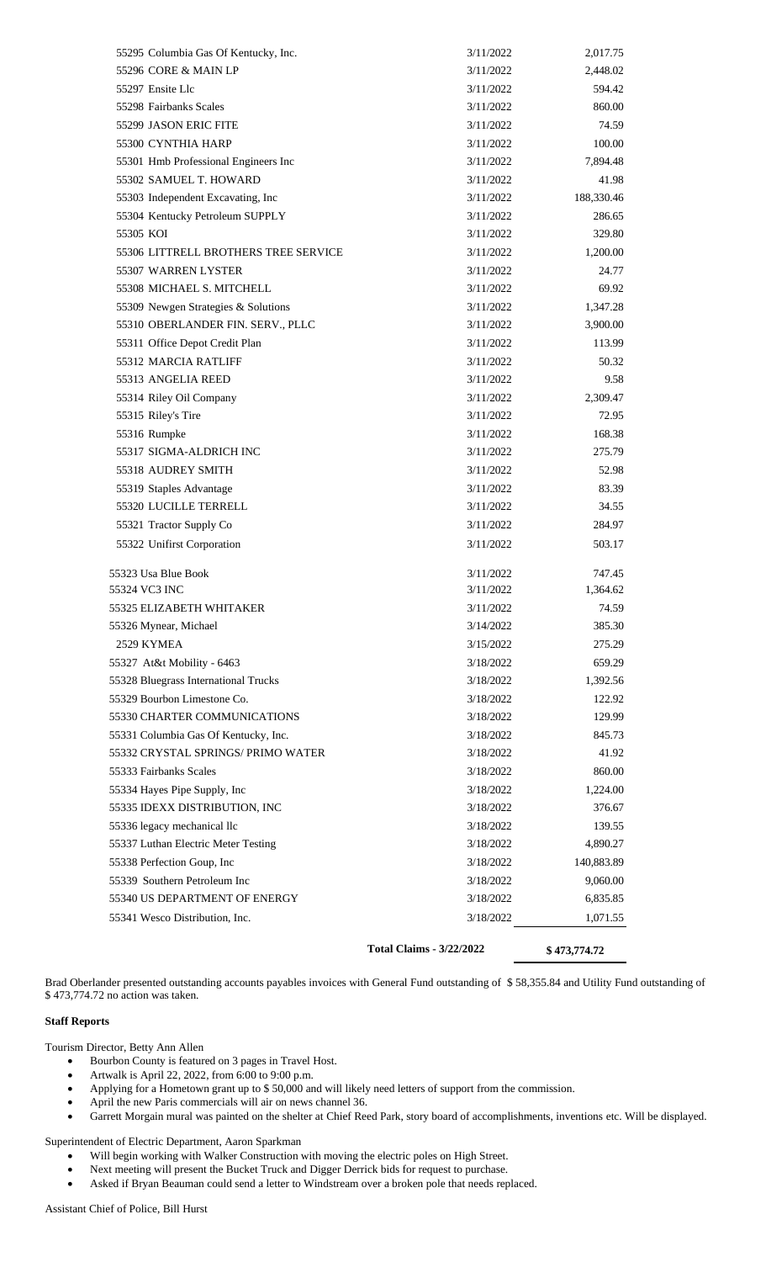|                                      | <b>Total Claims - 3/22/2022</b> | \$473,774.72 |
|--------------------------------------|---------------------------------|--------------|
| 55341 Wesco Distribution, Inc.       | 3/18/2022                       | 1,071.55     |
| 55340 US DEPARTMENT OF ENERGY        | 3/18/2022                       | 6,835.85     |
| 55339 Southern Petroleum Inc         | 3/18/2022                       | 9,060.00     |
| 55338 Perfection Goup, Inc           | 3/18/2022                       | 140,883.89   |
| 55337 Luthan Electric Meter Testing  | 3/18/2022                       | 4,890.27     |
| 55336 legacy mechanical llc          | 3/18/2022                       | 139.55       |
| 55335 IDEXX DISTRIBUTION, INC        | 3/18/2022                       | 376.67       |
| 55334 Hayes Pipe Supply, Inc         | 3/18/2022                       | 1,224.00     |
| 55333 Fairbanks Scales               | 3/18/2022                       | 860.00       |
| 55332 CRYSTAL SPRINGS/ PRIMO WATER   | 3/18/2022                       | 41.92        |
| 55331 Columbia Gas Of Kentucky, Inc. | 3/18/2022                       | 845.73       |
| 55330 CHARTER COMMUNICATIONS         | 3/18/2022                       | 129.99       |
| 55329 Bourbon Limestone Co.          | 3/18/2022                       | 122.92       |
| 55328 Bluegrass International Trucks | 3/18/2022                       | 1,392.56     |
| 55327 At&t Mobility - 6463           | 3/18/2022                       | 659.29       |
| 2529 KYMEA                           | 3/15/2022                       | 275.29       |
| 55326 Mynear, Michael                | 3/14/2022                       | 385.30       |
| 55325 ELIZABETH WHITAKER             | 3/11/2022                       | 74.59        |
| 55324 VC3 INC                        | 3/11/2022                       | 1,364.62     |
| 55323 Usa Blue Book                  | 3/11/2022                       | 747.45       |
| 55322 Unifirst Corporation           | 3/11/2022                       | 503.17       |
| 55321 Tractor Supply Co              | 3/11/2022                       | 284.97       |
| 55320 LUCILLE TERRELL                | 3/11/2022                       | 34.55        |
| 55319 Staples Advantage              | 3/11/2022                       | 83.39        |
| 55318 AUDREY SMITH                   | 3/11/2022                       | 52.98        |
| 55317 SIGMA-ALDRICH INC              | 3/11/2022                       | 275.79       |
| 55316 Rumpke                         | 3/11/2022                       | 168.38       |
| 55315 Riley's Tire                   | 3/11/2022                       | 72.95        |
| 55314 Riley Oil Company              | 3/11/2022                       | 2,309.47     |
| 55313 ANGELIA REED                   | 3/11/2022                       | 9.58         |
| 55312 MARCIA RATLIFF                 | 3/11/2022                       | 50.32        |
| 55311 Office Depot Credit Plan       | 3/11/2022                       | 113.99       |
| 55310 OBERLANDER FIN. SERV., PLLC    | 3/11/2022                       | 3,900.00     |
| 55309 Newgen Strategies & Solutions  | 3/11/2022                       | 1,347.28     |
| 55308 MICHAEL S. MITCHELL            | 3/11/2022                       | 69.92        |
| 55307 WARREN LYSTER                  | 3/11/2022                       | 24.77        |
| 55306 LITTRELL BROTHERS TREE SERVICE | 3/11/2022                       | 1,200.00     |
| 55305 KOI                            | 3/11/2022                       | 329.80       |
| 55304 Kentucky Petroleum SUPPLY      | 3/11/2022                       | 286.65       |
| 55303 Independent Excavating, Inc    | 3/11/2022                       | 188,330.46   |
| 55302 SAMUEL T. HOWARD               | 3/11/2022                       | 41.98        |
| 55301 Hmb Professional Engineers Inc | 3/11/2022                       | 7,894.48     |
| 55300 CYNTHIA HARP                   | 3/11/2022                       | 100.00       |
| 55299 JASON ERIC FITE                | 3/11/2022                       | 74.59        |
| 55298 Fairbanks Scales               | 3/11/2022                       | 860.00       |
| 55297 Ensite Llc                     | 3/11/2022                       | 594.42       |
| 55296 CORE & MAIN LP                 | 3/11/2022                       | 2,448.02     |
| 55295 Columbia Gas Of Kentucky, Inc. | 3/11/2022                       | 2,017.75     |

Brad Oberlander presented outstanding accounts payables invoices with General Fund outstanding of \$ 58,355.84 and Utility Fund outstanding of \$ 473,774.72 no action was taken.

# **Staff Reports**

Tourism Director, Betty Ann Allen

- Bourbon County is featured on 3 pages in Travel Host.
- Artwalk is April 22, 2022, from 6:00 to 9:00 p.m.
- Applying for a Hometown grant up to \$ 50,000 and will likely need letters of support from the commission.
- April the new Paris commercials will air on news channel 36.
- Garrett Morgain mural was painted on the shelter at Chief Reed Park, story board of accomplishments, inventions etc. Will be displayed.

Superintendent of Electric Department, Aaron Sparkman

- Will begin working with Walker Construction with moving the electric poles on High Street.
- Next meeting will present the Bucket Truck and Digger Derrick bids for request to purchase.
- Asked if Bryan Beauman could send a letter to Windstream over a broken pole that needs replaced.